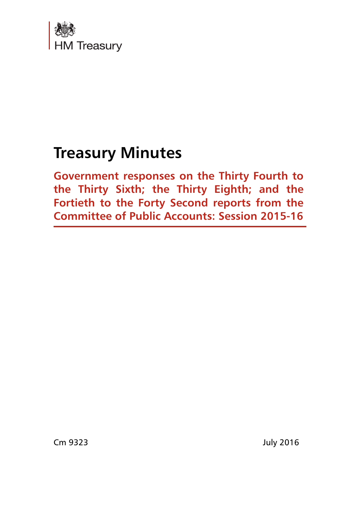

# **Treasury Minutes**

**Government responses on the Thirty Fourth to the Thirty Sixth; the Thirty Eighth; and the Fortieth to the Forty Second reports from the Committee of Public Accounts: Session 2015-16**

Cm 9323 July 2016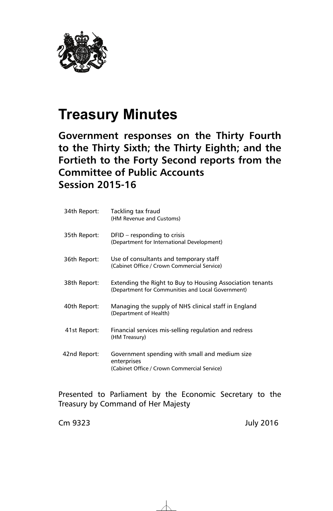

# **Treasury Minutes**

**Government responses on the Thirty Fourth to the Thirty Sixth; the Thirty Eighth; and the Fortieth to the Forty Second reports from the Committee of Public Accounts Session 2015-16**

| 34th Report: | Tackling tax fraud<br>(HM Revenue and Customs)                                                                 |
|--------------|----------------------------------------------------------------------------------------------------------------|
| 35th Report: | $DFID - responding to crisis$<br>(Department for International Development)                                    |
| 36th Report: | Use of consultants and temporary staff<br>(Cabinet Office / Crown Commercial Service)                          |
| 38th Report: | Extending the Right to Buy to Housing Association tenants<br>(Department for Communities and Local Government) |
| 40th Report: | Managing the supply of NHS clinical staff in England<br>(Department of Health)                                 |
| 41st Report: | Financial services mis-selling regulation and redress<br>(HM Treasury)                                         |
| 42nd Report: | Government spending with small and medium size<br>enterprises<br>(Cabinet Office / Crown Commercial Service)   |

Presented to Parliament by the Economic Secretary to the Treasury by Command of Her Majesty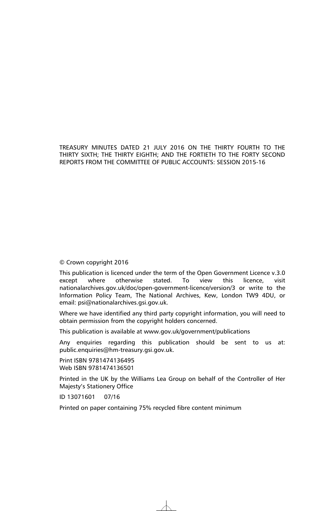TREASURY MINUTES DATED 21 JULY 2016 ON THE THIRTY FOURTH TO THE THIRTY SIXTH; THE THIRTY EIGHTH; AND THE FORTIETH TO THE FORTY SECOND REPORTS FROM THE COMMITTEE OF PUBLIC ACCOUNTS: SESSION 2015-16

#### © Crown copyright 2016

This publication is licenced under the term of the Open Government Licence v.3.0 except where otherwise stated. To view this licence, visit nationalarchives.gov.uk/doc/open-government-licence/version/3 or write to the Information Policy Team, The National Archives, Kew, London TW9 4DU, or email: psi@nationalarchives.gsi.gov.uk.

Where we have identified any third party copyright information, you will need to obtain permission from the copyright holders concerned.

This publication is available at www.gov.uk/government/publications

Any enquiries regarding this publication should be sent to us at: public.enquiries@hm-treasury.gsi.gov.uk.

Print ISBN 9781474136495 Web ISBN 9781474136501

Printed in the UK by the Williams Lea Group on behalf of the Controller of Her Majesty's Stationery Office

ID 13071601 07/16

Printed on paper containing 75% recycled fibre content minimum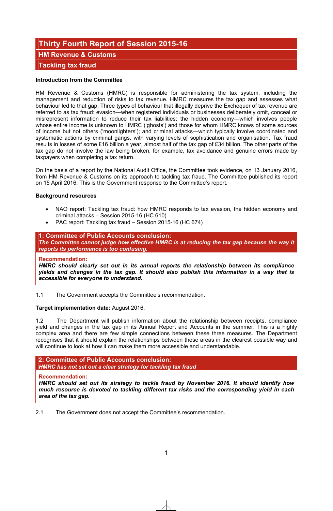## **Thirty Fourth Report of Session 2015-16**

**HM Revenue & Customs** 

## **Tackling tax fraud**

#### **Introduction from the Committee**

HM Revenue & Customs (HMRC) is responsible for administering the tax system, including the management and reduction of risks to tax revenue. HMRC measures the tax gap and assesses what behaviour led to that gap. Three types of behaviour that illegally deprive the Exchequer of tax revenue are referred to as tax fraud: evasion—when registered individuals or businesses deliberately omit, conceal or misrepresent information to reduce their tax liabilities; the hidden economy—which involves people whose entire income is unknown to HMRC ('ghosts') and those for whom HMRC knows of some sources of income but not others ('moonlighters'); and criminal attacks—which typically involve coordinated and systematic actions by criminal gangs, with varying levels of sophistication and organisation. Tax fraud results in losses of some £16 billion a year, almost half of the tax gap of £34 billion. The other parts of the tax gap do not involve the law being broken, for example, tax avoidance and genuine errors made by taxpayers when completing a tax return.

On the basis of a report by the National Audit Office, the Committee took evidence, on 13 January 2016, from HM Revenue & Customs on its approach to tackling tax fraud. The Committee published its report on 15 April 2016. This is the Government response to the Committee's report.

#### **Background resources**

- NAO report: Tackling tax fraud: how HMRC responds to tax evasion, the hidden economy and criminal attacks – Session 2015-16 (HC 610)
- PAC report: Tackling tax fraud Session 2015-16 (HC 674)

**1: Committee of Public Accounts conclusion:**  *The Committee cannot judge how effective HMRC is at reducing the tax gap because the way it reports its performance is too confusing.* 

#### **Recommendation:**

*HMRC should clearly set out in its annual reports the relationship between its compliance yields and changes in the tax gap. It should also publish this information in a way that is accessible for everyone to understand.*

1.1 The Government accepts the Committee's recommendation.

#### **Target implementation date:** August 2016.

1.2 The Department will publish information about the relationship between receipts, compliance yield and changes in the tax gap in its Annual Report and Accounts in the summer. This is a highly complex area and there are few simple connections between these three measures. The Department recognises that it should explain the relationships between these areas in the clearest possible way and will continue to look at how it can make them more accessible and understandable.

#### **2: Committee of Public Accounts conclusion:**  *HMRC has not set out a clear strategy for tackling tax fraud*

#### **Recommendation:**

*HMRC should set out its strategy to tackle fraud by November 2016. It should identify how much resource is devoted to tackling different tax risks and the corresponding yield in each area of the tax gap.*

2.1 The Government does not accept the Committee's recommendation.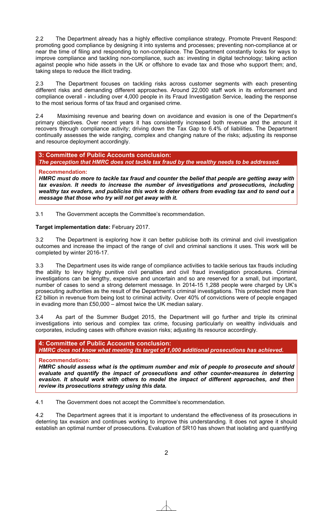2.2 The Department already has a highly effective compliance strategy. Promote Prevent Respond: promoting good compliance by designing it into systems and processes; preventing non-compliance at or near the time of filing and responding to non-compliance. The Department constantly looks for ways to improve compliance and tackling non-compliance, such as: investing in digital technology; taking action against people who hide assets in the UK or offshore to evade tax and those who support them; and, taking steps to reduce the illicit trading.

2.3 The Department focuses on tackling risks across customer segments with each presenting different risks and demanding different approaches. Around 22,000 staff work in its enforcement and compliance overall - including over 4,000 people in its Fraud Investigation Service, leading the response to the most serious forms of tax fraud and organised crime.

2.4 Maximising revenue and bearing down on avoidance and evasion is one of the Department's primary objectives. Over recent years it has consistently increased both revenue and the amount it recovers through compliance activity; driving down the Tax Gap to 6.4% of liabilities. The Department continually assesses the wide ranging, complex and changing nature of the risks; adjusting its response and resource deployment accordingly.

#### **3: Committee of Public Accounts conclusion:** *The perception that HMRC does not tackle tax fraud by the wealthy needs to be addressed.*

#### **Recommendation:**

*HMRC must do more to tackle tax fraud and counter the belief that people are getting away with tax evasion. It needs to increase the number of investigations and prosecutions, including wealthy tax evaders, and publicise this work to deter others from evading tax and to send out a message that those who try will not get away with it.*

3.1 The Government accepts the Committee's recommendation.

#### **Target implementation date:** February 2017.

3.2 The Department is exploring how it can better publicise both its criminal and civil investigation outcomes and increase the impact of the range of civil and criminal sanctions it uses. This work will be completed by winter 2016-17.

3.3 The Department uses its wide range of compliance activities to tackle serious tax frauds including the ability to levy highly punitive civil penalties and civil fraud investigation procedures. Criminal investigations can be lengthy, expensive and uncertain and so are reserved for a small, but important, number of cases to send a strong deterrent message. In 2014-15 1,288 people were charged by UK's prosecuting authorities as the result of the Department's criminal investigations. This protected more than £2 billion in revenue from being lost to criminal activity. Over 40% of convictions were of people engaged in evading more than £50,000 – almost twice the UK median salary.

3.4 As part of the Summer Budget 2015, the Department will go further and triple its criminal investigations into serious and complex tax crime, focusing particularly on wealthy individuals and corporates, including cases with offshore evasion risks; adjusting its resource accordingly.

**4: Committee of Public Accounts conclusion:** *HMRC does not know what meeting its target of 1,000 additional prosecutions has achieved.* 

#### **Recommendations:**

*HMRC should assess what is the optimum number and mix of people to prosecute and should evaluate and quantify the impact of prosecutions and other counter-measures in deterring evasion. It should work with others to model the impact of different approaches, and then review its prosecutions strategy using this data.*

4.1 The Government does not accept the Committee's recommendation.

4.2 The Department agrees that it is important to understand the effectiveness of its prosecutions in deterring tax evasion and continues working to improve this understanding. It does not agree it should establish an optimal number of prosecutions. Evaluation of SR10 has shown that isolating and quantifying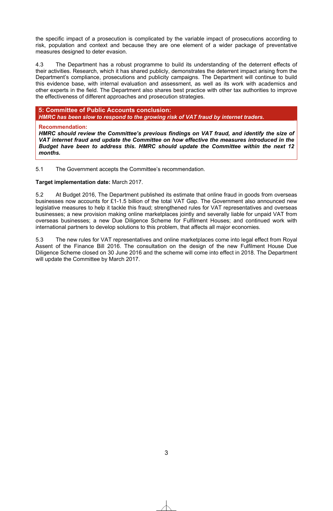the specific impact of a prosecution is complicated by the variable impact of prosecutions according to risk, population and context and because they are one element of a wider package of preventative measures designed to deter evasion.

4.3 The Department has a robust programme to build its understanding of the deterrent effects of their activities. Research, which it has shared publicly, demonstrates the deterrent impact arising from the Department's compliance, prosecutions and publicity campaigns. The Department will continue to build this evidence base, with internal evaluation and assessment, as well as its work with academics and other experts in the field. The Department also shares best practice with other tax authorities to improve the effectiveness of different approaches and prosecution strategies.

#### **5: Committee of Public Accounts conclusion:**

*HMRC has been slow to respond to the growing risk of VAT fraud by internet traders.* 

#### **Recommendation:**

*HMRC should review the Committee's previous findings on VAT fraud, and identify the size of VAT internet fraud and update the Committee on how effective the measures introduced in the Budget have been to address this. HMRC should update the Committee within the next 12 months.* 

5.1 The Government accepts the Committee's recommendation.

#### **Target implementation date:** March 2017.

5.2 At Budget 2016, The Department published its estimate that online fraud in goods from overseas businesses now accounts for £1-1.5 billion of the total VAT Gap. The Government also announced new legislative measures to help it tackle this fraud; strengthened rules for VAT representatives and overseas businesses; a new provision making online marketplaces jointly and severally liable for unpaid VAT from overseas businesses; a new Due Diligence Scheme for Fulfilment Houses; and continued work with international partners to develop solutions to this problem, that affects all major economies.

5.3 The new rules for VAT representatives and online marketplaces come into legal effect from Royal Assent of the Finance Bill 2016. The consultation on the design of the new Fulfilment House Due Diligence Scheme closed on 30 June 2016 and the scheme will come into effect in 2018. The Department will update the Committee by March 2017.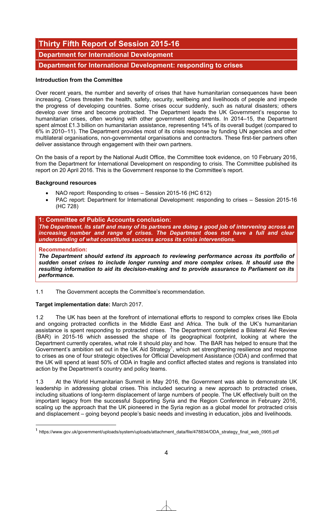# **Thirty Fifth Report of Session 2015-16**

## **Department for International Development**

**Department for International Development: responding to crises** 

#### **Introduction from the Committee**

Over recent years, the number and severity of crises that have humanitarian consequences have been increasing. Crises threaten the health, safety, security, wellbeing and livelihoods of people and impede the progress of developing countries. Some crises occur suddenly, such as natural disasters; others develop over time and become protracted. The Department leads the UK Government's response to humanitarian crises, often working with other government departments. In 2014–15, the Department spent almost £1.3 billion on humanitarian assistance, representing 14% of its overall budget (compared to 6% in 2010–11). The Department provides most of its crisis response by funding UN agencies and other multilateral organisations, non-governmental organisations and contractors. These first-tier partners often deliver assistance through engagement with their own partners.

On the basis of a report by the National Audit Office, the Committee took evidence, on 10 February 2016, from the Department for International Development on responding to crisis. The Committee published its report on 20 April 2016. This is the Government response to the Committee's report.

#### **Background resources**

- NAO report: Responding to crises Session 2015-16 (HC 612)
- PAC report: Department for International Development: responding to crises Session 2015-16 (HC 728)

#### **1: Committee of Public Accounts conclusion:**

*The Department, its staff and many of its partners are doing a good job of intervening across an increasing number and range of crises. The Department does not have a full and clear understanding of what constitutes success across its crisis interventions.* 

#### **Recommendation:**

1

*The Department should extend its approach to reviewing performance across its portfolio of sudden onset crises to include longer running and more complex crises. It should use the resulting information to aid its decision-making and to provide assurance to Parliament on its performance.*

1.1 The Government accepts the Committee's recommendation.

#### **Target implementation date:** March 2017.

1.2 The UK has been at the forefront of international efforts to respond to complex crises like Ebola and ongoing protracted conflicts in the Middle East and Africa. The bulk of the UK's humanitarian assistance is spent responding to protracted crises. The Department completed a Bilateral Aid Review (BAR) in 2015-16 which assessed the shape of its geographical footprint, looking at where the Department currently operates, what role it should play and how. The BAR has helped to ensure that the Government's ambition set out in the UK Aid Strategy<sup>1</sup>, which set strengthening resilience and response to crises as one of four strategic objectives for Official Development Assistance (ODA) and confirmed that the UK will spend at least 50% of ODA in fragile and conflict affected states and regions is translated into action by the Department's country and policy teams.

1.3 At the World Humanitarian Summit in May 2016, the Government was able to demonstrate UK leadership in addressing global crises. This included securing a new approach to protracted crises, including situations of long-term displacement of large numbers of people. The UK effectively built on the important legacy from the successful Supporting Syria and the Region Conference in February 2016, scaling up the approach that the UK pioneered in the Syria region as a global model for protracted crisis and displacement – going beyond people's basic needs and investing in education, jobs and livelihoods.

**<sup>1</sup>** https://www.gov.uk/government/uploads/system/uploads/attachment\_data/file/478834/ODA\_strategy\_final\_web\_0905.pdf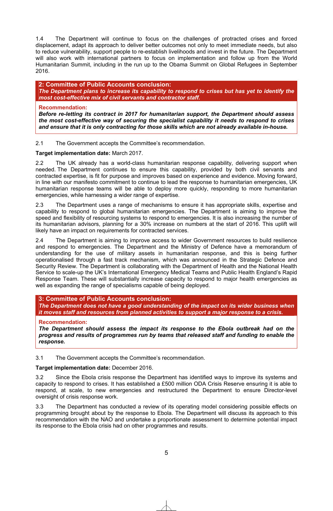1.4 The Department will continue to focus on the challenges of protracted crises and forced displacement, adapt its approach to deliver better outcomes not only to meet immediate needs, but also to reduce vulnerability, support people to re-establish livelihoods and invest in the future. The Department will also work with international partners to focus on implementation and follow up from the World Humanitarian Summit, including in the run up to the Obama Summit on Global Refugees in September 2016.

**2: Committee of Public Accounts conclusion:**  *The Department plans to increase its capability to respond to crises but has yet to identify the most cost-effective mix of civil servants and contractor staff.* 

#### **Recommendation:**

*Before re-letting its contract in 2017 for humanitarian support, the Department should assess the most cost-effective way of securing the specialist capability it needs to respond to crises and ensure that it is only contracting for those skills which are not already available in-house.* 

#### 2.1 The Government accepts the Committee's recommendation.

#### **Target implementation date:** March 2017.

2.2 The UK already has a world-class humanitarian response capability, delivering support when needed. The Department continues to ensure this capability, provided by both civil servants and contracted expertise, is fit for purpose and improves based on experience and evidence. Moving forward, in line with our manifesto commitment to continue to lead the response to humanitarian emergencies, UK humanitarian response teams will be able to deploy more quickly, responding to more humanitarian emergencies, while harnessing a wider range of expertise.

2.3 The Department uses a range of mechanisms to ensure it has appropriate skills, expertise and capability to respond to global humanitarian emergencies. The Department is aiming to improve the speed and flexibility of resourcing systems to respond to emergencies. It is also increasing the number of its humanitarian advisors, planning for a 30% increase on numbers at the start of 2016. This uplift will likely have an impact on requirements for contracted services.

2.4 The Department is aiming to improve access to wider Government resources to build resilience and respond to emergencies. The Department and the Ministry of Defence have a memorandum of understanding for the use of military assets in humanitarian response, and this is being further operationalised through a fast track mechanism, which was announced in the Strategic Defence and Security Review. The Department is collaborating with the Department of Health and the National Health Service to scale-up the UK's International Emergency Medical Teams and Public Health England's Rapid Response Team. These will substantially increase capacity to respond to major health emergencies as well as expanding the range of specialisms capable of being deployed.

#### **3: Committee of Public Accounts conclusion:**

*The Department does not have a good understanding of the impact on its wider business when it moves staff and resources from planned activities to support a major response to a crisis.* 

#### **Recommendation:**

*The Department should assess the impact its response to the Ebola outbreak had on the progress and results of programmes run by teams that released staff and funding to enable the response.* 

3.1 The Government accepts the Committee's recommendation.

#### **Target implementation date:** December 2016.

3.2 Since the Ebola crisis response the Department has identified ways to improve its systems and capacity to respond to crises. It has established a £500 million ODA Crisis Reserve ensuring it is able to respond, at scale, to new emergencies and restructured the Department to ensure Director-level oversight of crisis response work.

3.3 The Department has conducted a review of its operating model considering possible effects on programming brought about by the response to Ebola. The Department will discuss its approach to this recommendation with the NAO and undertake a proportionate assessment to determine potential impact its response to the Ebola crisis had on other programmes and results.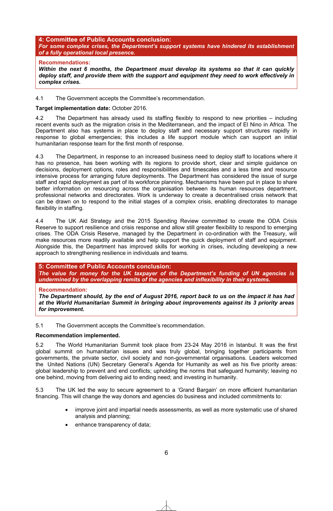#### **4: Committee of Public Accounts conclusion:** *For some complex crises, the Department's support systems have hindered its establishment of a fully operational local presence.*

#### **Recommendations:**

*Within the next 6 months, the Department must develop its systems so that it can quickly deploy staff, and provide them with the support and equipment they need to work effectively in complex crises.*

4.1 The Government accepts the Committee's recommendation.

#### **Target implementation date:** October 2016.

4.2 The Department has already used its staffing flexibly to respond to new priorities – including recent events such as the migration crisis in the Mediterranean, and the impact of El Nino in Africa. The Department also has systems in place to deploy staff and necessary support structures rapidly in response to global emergencies; this includes a life support module which can support an initial humanitarian response team for the first month of response.

4.3 The Department, in response to an increased business need to deploy staff to locations where it has no presence, has been working with its regions to provide short, clear and simple guidance on decisions, deployment options, roles and responsibilities and timescales and a less time and resource intensive process for arranging future deployments. The Department has considered the issue of surge staff and rapid deployment as part of its workforce planning. Mechanisms have been put in place to share better information on resourcing across the organisation between its human resources department, professional networks and directorates. Work is underway to create a decentralised crisis network that can be drawn on to respond to the initial stages of a complex crisis, enabling directorates to manage flexibility in staffing.

4.4 The UK Aid Strategy and the 2015 Spending Review committed to create the ODA Crisis Reserve to support resilience and crisis response and allow still greater flexibility to respond to emerging crises. The ODA Crisis Reserve, managed by the Department in co-ordination with the Treasury, will make resources more readily available and help support the quick deployment of staff and equipment. Alongside this, the Department has improved skills for working in crises, including developing a new approach to strengthening resilience in individuals and teams.

#### **5: Committee of Public Accounts conclusion:**

*The value for money for the UK taxpayer of the Department's funding of UN agencies is undermined by the overlapping remits of the agencies and inflexibility in their systems.* 

#### **Recommendation:**

*The Department should, by the end of August 2016, report back to us on the impact it has had at the World Humanitarian Summit in bringing about improvements against its 3 priority areas for improvement.*

5.1 The Government accepts the Committee's recommendation.

#### **Recommendation implemented.**

5.2 The World Humanitarian Summit took place from 23-24 May 2016 in Istanbul. It was the first global summit on humanitarian issues and was truly global, bringing together participants from governments, the private sector, civil society and non-governmental organisations. Leaders welcomed the United Nations (UN) Secretary General's Agenda for Humanity as well as his five priority areas: global leadership to prevent and end conflicts; upholding the norms that safeguard humanity; leaving no one behind, moving from delivering aid to ending need; and investing in humanity.

5.3 The UK led the way to secure agreement to a 'Grand Bargain' on more efficient humanitarian financing. This will change the way donors and agencies do business and included commitments to:

- improve joint and impartial needs assessments, as well as more systematic use of shared analysis and planning;
- enhance transparency of data;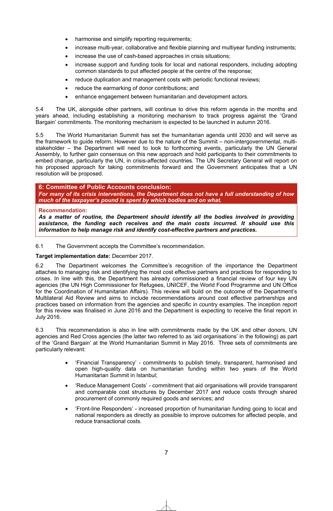- harmonise and simplify reporting requirements;
- increase multi-year, collaborative and flexible planning and multivear funding instruments;
- increase the use of cash-based approaches in crisis situations;
- increase support and funding tools for local and national responders, including adopting common standards to put affected people at the centre of the response;
- reduce duplication and management costs with periodic functional reviews;
- reduce the earmarking of donor contributions; and
- enhance engagement between humanitarian and development actors.

5.4 The UK, alongside other partners, will continue to drive this reform agenda in the months and years ahead, including establishing a monitoring mechanism to track progress against the 'Grand Bargain' commitments. The monitoring mechanism is expected to be launched in autumn 2016.

5.5 The World Humanitarian Summit has set the humanitarian agenda until 2030 and will serve as the framework to guide reform. However due to the nature of the Summit – non-intergovernmental, multistakeholder – the Department will need to look to forthcoming events, particularly the UN General Assembly, to further gain consensus on this new approach and hold participants to their commitments to embed change, particularly the UN, in crisis-affected countries. The UN Secretary General will report on his proposed approach for taking commitments forward and the Government anticipates that a UN resolution will be proposed.

**6: Committee of Public Accounts conclusion:**  *For many of its crisis interventions, the Department does not have a full understanding of how much of the taxpayer's pound is spent by which bodies and on what.* 

#### **Recommendation:**

*As a matter of routine, the Department should identify all the bodies involved in providing assistance, the funding each receives and the main costs incurred. It should use this information to help manage risk and identify cost-effective partners and practices.* 

6.1 The Government accepts the Committee's recommendation.

#### **Target implementation date:** December 2017.

6.2 The Department welcomes the Committee's recognition of the importance the Department attaches to managing risk and identifying the most cost effective partners and practices for responding to crises. In line with this, the Department has already commissioned a financial review of four key UN agencies (the UN High Commissioner for Refugees, UNICEF, the World Food Programme and UN Office for the Coordination of Humanitarian Affairs). This review will build on the outcome of the Department's Multilateral Aid Review and aims to include recommendations around cost effective partnerships and practices based on information from the agencies and specific in country examples. The inception report for this review was finalised in June 2016 and the Department is expecting to receive the final report in July 2016.

6.3 This recommendation is also in line with commitments made by the UK and other donors, UN agencies and Red Cross agencies (the latter two referred to as 'aid organisations' in the following) as part of the 'Grand Bargain' at the World Humanitarian Summit in May 2016. Three sets of commitments are particularly relevant:

- x 'Financial Transparency' commitments to publish timely, transparent, harmonised and open high-quality data on humanitarian funding within two years of the World Humanitarian Summit in Istanbul;
- 'Reduce Management Costs' commitment that aid organisations will provide transparent and comparable cost structures by December 2017 and reduce costs through shared procurement of commonly required goods and services; and
- x 'Front-line Responders' increased proportion of humanitarian funding going to local and national responders as directly as possible to improve outcomes for affected people, and reduce transactional costs.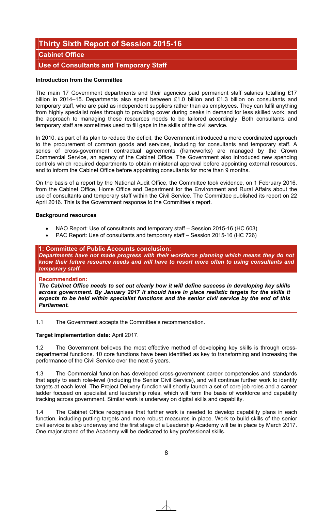# **Thirty Sixth Report of Session 2015-16**

### **Cabinet Office**

## **Use of Consultants and Temporary Staff**

#### **Introduction from the Committee**

The main 17 Government departments and their agencies paid permanent staff salaries totalling £17 billion in 2014–15. Departments also spent between £1.0 billion and £1.3 billion on consultants and temporary staff, who are paid as independent suppliers rather than as employees. They can fulfil anything from highly specialist roles through to providing cover during peaks in demand for less skilled work, and the approach to managing these resources needs to be tailored accordingly. Both consultants and temporary staff are sometimes used to fill gaps in the skills of the civil service.

In 2010, as part of its plan to reduce the deficit, the Government introduced a more coordinated approach to the procurement of common goods and services, including for consultants and temporary staff. A series of cross-government contractual agreements (frameworks) are managed by the Crown Commercial Service, an agency of the Cabinet Office. The Government also introduced new spending controls which required departments to obtain ministerial approval before appointing external resources, and to inform the Cabinet Office before appointing consultants for more than 9 months.

On the basis of a report by the National Audit Office, the Committee took evidence, on 1 February 2016, from the Cabinet Office, Home Office and Department for the Environment and Rural Affairs about the use of consultants and temporary staff within the Civil Service. The Committee published its report on 22 April 2016. This is the Government response to the Committee's report.

#### **Background resources**

- NAO Report: Use of consultants and temporary staff Session 2015-16 (HC 603)
- PAC Report: Use of consultants and temporary staff Session 2015-16 (HC 726)

#### **1: Committee of Public Accounts conclusion:**

*Departments have not made progress with their workforce planning which means they do not know their future resource needs and will have to resort more often to using consultants and*  temporary staff.

#### **Recommendation:**

*The Cabinet Office needs to set out clearly how it will define success in developing key skills across government. By January 2017 it should have in place realistic targets for the skills it expects to be held within specialist functions and the senior civil service by the end of this Parliament.* ̘

1.1 The Government accepts the Committee's recommendation.

#### **Target implementation date:** April 2017.

1.2 The Government believes the most effective method of developing key skills is through crossdepartmental functions. 10 core functions have been identified as key to transforming and increasing the performance of the Civil Service over the next 5 years.

1.3 The Commercial function has developed cross-government career competencies and standards that apply to each role-level (including the Senior Civil Service), and will continue further work to identify targets at each level. The Project Delivery function will shortly launch a set of core job roles and a career ladder focused on specialist and leadership roles, which will form the basis of workforce and capability tracking across government. Similar work is underway on digital skills and capability.

1.4 The Cabinet Office recognises that further work is needed to develop capability plans in each function, including putting targets and more robust measures in place. Work to build skills of the senior civil service is also underway and the first stage of a Leadership Academy will be in place by March 2017. One major strand of the Academy will be dedicated to key professional skills.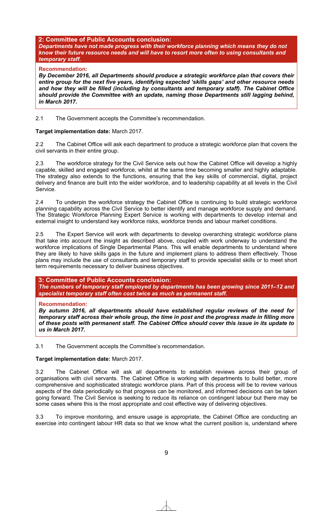#### **2: Committee of Public Accounts conclusion:**

*Departments have not made progress with their workforce planning which means they do not know their future resource needs and will have to resort more often to using consultants and temporary staff.* 

#### **Recommendation:**

*By December 2016, all Departments should produce a strategic workforce plan that covers their entire group for the next five years, identifying expected 'skills gaps' and other resource needs and how they will be filled (including by consultants and temporary staff). The Cabinet Office should provide the Committee with an update, naming those Departments still lagging behind, in March 2017.* 

2.1 The Government accepts the Committee's recommendation.

#### **Target implementation date:** March 2017.

2.2 The Cabinet Office will ask each department to produce a strategic workforce plan that covers the civil servants in their entire group.

2.3 The workforce strategy for the Civil Service sets out how the Cabinet Office will develop a highly capable, skilled and engaged workforce, whilst at the same time becoming smaller and highly adaptable. The strategy also extends to the functions, ensuring that the key skills of commercial, digital, project delivery and finance are built into the wider workforce, and to leadership capability at all levels in the Civil Service.

2.4 To underpin the workforce strategy the Cabinet Office is continuing to build strategic workforce planning capability across the Civil Service to better identify and manage workforce supply and demand. The Strategic Workforce Planning Expert Service is working with departments to develop internal and external insight to understand key workforce risks, workforce trends and labour market conditions.

2.5 The Expert Service will work with departments to develop overarching strategic workforce plans that take into account the insight as described above, coupled with work underway to understand the workforce implications of Single Departmental Plans. This will enable departments to understand where they are likely to have skills gaps in the future and implement plans to address them effectively. Those plans may include the use of consultants and temporary staff to provide specialist skills or to meet short term requirements necessary to deliver business objectives.

#### **3: Committee of Public Accounts conclusion:**

*The numbers of temporary staff employed by departments has been growing since 2011–12 and specialist temporary staff often cost twice as much as permanent staff.* 

#### **Recommendation:**

*By autumn 2016, all departments should have established regular reviews of the need for temporary staff across their whole group, the time in post and the progress made in filling more of these posts with permanent staff. The Cabinet Office should cover this issue in its update to us in March 2017.* 

3.1 The Government accepts the Committee's recommendation.

#### **Target implementation date:** March 2017.

3.2 The Cabinet Office will ask all departments to establish reviews across their group of organisations with civil servants. The Cabinet Office is working with departments to build better, more comprehensive and sophisticated strategic workforce plans. Part of this process will be to review various aspects of the data periodically so that progress can be monitored, and informed decisions can be taken going forward. The Civil Service is seeking to reduce its reliance on contingent labour but there may be some cases where this is the most appropriate and cost effective way of delivering objectives.

3.3 To improve monitoring, and ensure usage is appropriate, the Cabinet Office are conducting an exercise into contingent labour HR data so that we know what the current position is, understand where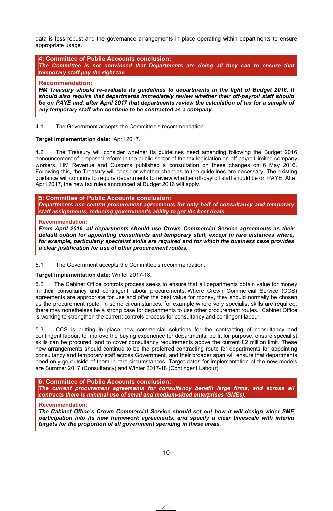data is less robust and the governance arrangements in place operating within departments to ensure appropriate usage.

**4: Committee of Public Accounts conclusion:** *The Committee is not convinced that Departments are doing all they can to ensure that temporary staff pay the right tax.* 

#### **Recommendation:**

*HM Treasury should re-evaluate its guidelines to departments in the light of Budget 2016. It should also require that departments immediately review whether their off-payroll staff should*  be on PAYE and, after April 2017 that departments review the calculation of tax for a sample of *any temporary staff who continue to be contracted as a company.* 

4.1 The Government accepts the Committee's recommendation.

#### **Target implementation date:** April 2017.

4.2 The Treasury will consider whether its guidelines need amending following the Budget 2016 announcement of proposed reform in the public sector of the tax legislation on off-payroll limited company workers. HM Revenue and Customs published a consultation on these changes on 6 May 2016. Following this, the Treasury will consider whether changes to the guidelines are necessary. The existing guidance will continue to require departments to review whether off-payroll staff should be on PAYE. After April 2017, the new tax rules announced at Budget 2016 will apply.

#### **5: Committee of Public Accounts conclusion:**

*Departments use central procurement agreements for only half of consultancy and temporary*  staff assignments, reducing government's ability to get the best deals.

#### **Recommendation:**

*From April 2016, all departments should use Crown Commercial Service agreements as their default option for appointing consultants and temporary staff, except in rare instances where, for example, particularly specialist skills are required and for which the business case provides a clear justification for use of other procurement routes.* 

#### 5.1 The Government accepts the Committee's recommendation.

#### **Target implementation date:** Winter 2017-18.

5.2 The Cabinet Office controls process seeks to ensure that all departments obtain value for money in their consultancy and contingent labour procurements. Where Crown Commercial Service (CCS) agreements are appropriate for use and offer the best value for money, they should normally be chosen as the procurement route. In some circumstances, for example where very specialist skills are required, there may nonetheless be a strong case for departments to use other procurement routes. Cabinet Office is working to strengthen the current controls process for consultancy and contingent labour.

5.3 CCS is putting in place new commercial solutions for the contracting of consultancy and contingent labour, to improve the buying experience for departments, be fit for purpose, ensure specialist skills can be procured, and to cover consultancy requirements above the current £2 million limit. These new arrangements should continue to be the preferred contracting route for departments for appointing consultancy and temporary staff across Government, and their broader span will ensure that departments need only go outside of them in rare circumstances. Target dates for implementation of the new models are Summer 2017 (Consultancy) and Winter 2017-18 (Contingent Labour).

**6: Committee of Public Accounts conclusion:** *The current procurement agreements for consultancy benefit large firms, and across all contracts there is minimal use of small and medium-sized enterprises (SMEs).* 

#### **Recommendation:**

*The Cabinet Office's Crown Commercial Service should set out how it will design wider SME participation into its new framework agreements, and specify a clear timescale with interim targets for the proportion of all government spending in these areas.*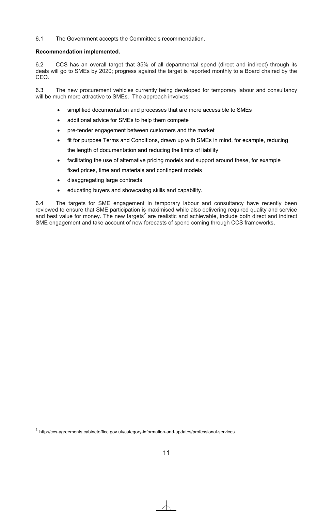6.1 The Government accepts the Committee's recommendation.

#### **Recommendation implemented.**

6.2 CCS has an overall target that 35% of all departmental spend (direct and indirect) through its deals will go to SMEs by 2020; progress against the target is reported monthly to a Board chaired by the CEO.

6.3 The new procurement vehicles currently being developed for temporary labour and consultancy will be much more attractive to SMEs. The approach involves:

- simplified documentation and processes that are more accessible to SMEs
- additional advice for SMEs to help them compete
- pre-tender engagement between customers and the market
- fit for purpose Terms and Conditions, drawn up with SMEs in mind, for example, reducing the length of documentation and reducing the limits of liability
- facilitating the use of alternative pricing models and support around these, for example fixed prices, time and materials and contingent models
- disaggregating large contracts
- educating buyers and showcasing skills and capability.

6.4 The targets for SME engagement in temporary labour and consultancy have recently been reviewed to ensure that SME participation is maximised while also delivering required quality and service and best value for money. The new targets<sup>2</sup> are realistic and achievable, include both direct and indirect SME engagement and take account of new forecasts of spend coming through CCS frameworks.

1

**<sup>2</sup>** http://ccs-agreements.cabinetoffice.gov.uk/category-information-and-updates/professional-services.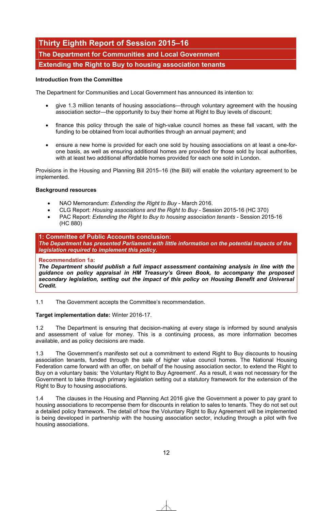# **Thirty Eighth Report of Session 2015–16 The Department for Communities and Local Government Extending the Right to Buy to housing association tenants**

#### **Introduction from the Committee**

The Department for Communities and Local Government has announced its intention to:

- give 1.3 million tenants of housing associations—through voluntary agreement with the housing association sector—the opportunity to buy their home at Right to Buy levels of discount;
- finance this policy through the sale of high-value council homes as these fall vacant, with the funding to be obtained from local authorities through an annual payment; and
- ensure a new home is provided for each one sold by housing associations on at least a one-forone basis, as well as ensuring additional homes are provided for those sold by local authorities, with at least two additional affordable homes provided for each one sold in London.

Provisions in the Housing and Planning Bill 2015–16 (the Bill) will enable the voluntary agreement to be implemented.

#### **Background resources**

- x NAO Memorandum: *Extending the Right to Buy* March 2016.
- x CLG Report: *Housing associations and the Right to Buy* Session 2015-16 (HC 370)
- x PAC Report: *Extending the Right to Buy to housing association tenants* Session 2015-16 (HC 880)

#### **1: Committee of Public Accounts conclusion:**  *The Department has presented Parliament with little information on the potential impacts of the legislation required to implement this policy.*

#### **Recommendation 1a:**

*The Department should publish a full impact assessment containing analysis in line with the guidance on policy appraisal in HM Treasury's Green Book, to accompany the proposed secondary legislation, setting out the impact of this policy on Housing Benefit and Universal Credit.* 

1.1 The Government accepts the Committee's recommendation.

#### **Target implementation date:** Winter 2016-17.

1.2 The Department is ensuring that decision-making at every stage is informed by sound analysis and assessment of value for money. This is a continuing process, as more information becomes available, and as policy decisions are made.

1.3 The Government's manifesto set out a commitment to extend Right to Buy discounts to housing association tenants, funded through the sale of higher value council homes. The National Housing Federation came forward with an offer, on behalf of the housing association sector, to extend the Right to Buy on a voluntary basis: 'the Voluntary Right to Buy Agreement'. As a result, it was not necessary for the Government to take through primary legislation setting out a statutory framework for the extension of the Right to Buy to housing associations.

1.4 The clauses in the Housing and Planning Act 2016 give the Government a power to pay grant to housing associations to recompense them for discounts in relation to sales to tenants. They do not set out a detailed policy framework. The detail of how the Voluntary Right to Buy Agreement will be implemented is being developed in partnership with the housing association sector, including through a pilot with five housing associations.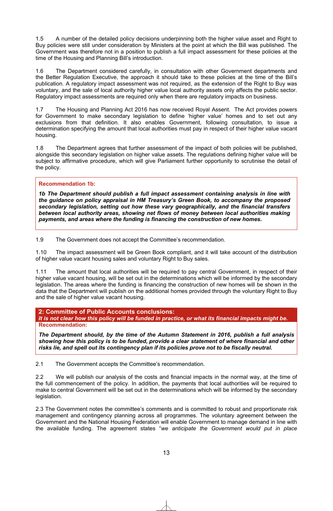1.5 A number of the detailed policy decisions underpinning both the higher value asset and Right to Buy policies were still under consideration by Ministers at the point at which the Bill was published. The Government was therefore not in a position to publish a full impact assessment for these policies at the time of the Housing and Planning Bill's introduction.

1.6 The Department considered carefully, in consultation with other Government departments and the Better Regulation Executive, the approach it should take to these policies at the time of the Bill's publication. A regulatory impact assessment was not required, as the extension of the Right to Buy was voluntary, and the sale of local authority higher value local authority assets only affects the public sector. Regulatory impact assessments are required only when there are regulatory impacts on business.

1.7 The Housing and Planning Act 2016 has now received Royal Assent. The Act provides powers for Government to make secondary legislation to define 'higher value' homes and to set out any exclusions from that definition. It also enables Government, following consultation, to issue a determination specifying the amount that local authorities must pay in respect of their higher value vacant housing.

1.8 The Department agrees that further assessment of the impact of both policies will be published, alongside this secondary legislation on higher value assets. The regulations defining higher value will be subject to affirmative procedure, which will give Parliament further opportunity to scrutinise the detail of the policy.

#### **Recommendation 1b:**

*1b The Department should publish a full impact assessment containing analysis in line with the guidance on policy appraisal in HM Treasury's Green Book, to accompany the proposed secondary legislation, setting out how these vary geographically, and the financial transfers between local authority areas, showing net flows of money between local authorities making payments, and areas where the funding is financing the construction of new homes.*

1.9 The Government does not accept the Committee's recommendation.

1.10 The impact assessment will be Green Book compliant, and it will take account of the distribution of higher value vacant housing sales and voluntary Right to Buy sales.

1.11 The amount that local authorities will be required to pay central Government, in respect of their higher value vacant housing, will be set out in the determinations which will be informed by the secondary legislation. The areas where the funding is financing the construction of new homes will be shown in the data that the Department will publish on the additional homes provided through the voluntary Right to Buy and the sale of higher value vacant housing.

**2: Committee of Public Accounts conclusions:**  *It is not clear how this policy will be funded in practice, or what its financial impacts might be.*  **Recommendation:** 

*The Department should, by the time of the Autumn Statement in 2016, publish a full analysis showing how this policy is to be funded, provide a clear statement of where financial and other risks lie, and spell out its contingency plan if its policies prove not to be fiscally neutral.* 

2.1 The Government accepts the Committee's recommendation.

2.2 We will publish our analysis of the costs and financial impacts in the normal way, at the time of the full commencement of the policy. In addition, the payments that local authorities will be required to make to central Government will be set out in the determinations which will be informed by the secondary legislation.

2.3 The Government notes the committee's comments and is committed to robust and proportionate risk management and contingency planning across all programmes. The voluntary agreement between the Government and the National Housing Federation will enable Government to manage demand in line with the available funding. The agreement states "*we anticipate the Government would put in place*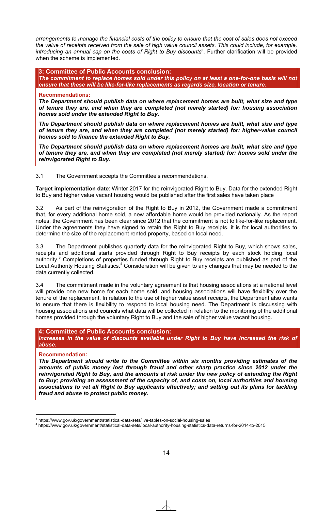*arrangements to manage the financial costs of the policy to ensure that the cost of sales does not exceed the value of receipts received from the sale of high value council assets. This could include, for example, introducing an annual cap on the costs of Right to Buy discounts*". Further clarification will be provided when the scheme is implemented.

**3: Committee of Public Accounts conclusion:**  *The commitment to replace homes sold under this policy on at least a one-for-one basis will not ensure that these will be like-for-like replacements as regards size, location or tenure.* 

#### **Recommendations:**

*The Department should publish data on where replacement homes are built, what size and type of tenure they are, and when they are completed (not merely started) for: housing association homes sold under the extended Right to Buy.* 

*The Department should publish data on where replacement homes are built, what size and type of tenure they are, and when they are completed (not merely started) for: higher-value council homes sold to finance the extended Right to Buy.* 

*The Department should publish data on where replacement homes are built, what size and type of tenure they are, and when they are completed (not merely started) for: homes sold under the reinvigorated Right to Buy.* 

3.1 The Government accepts the Committee's recommendations.

**Target implementation date**: Winter 2017 for the reinvigorated Right to Buy. Data for the extended Right to Buy and higher value vacant housing would be published after the first sales have taken place

3.2 As part of the reinvigoration of the Right to Buy in 2012, the Government made a commitment that, for every additional home sold, a new affordable home would be provided nationally. As the report notes, the Government has been clear since 2012 that the commitment is not to like-for-like replacement. Under the agreements they have signed to retain the Right to Buy receipts, it is for local authorities to determine the size of the replacement rented property, based on local need.

3.3 The Department publishes quarterly data for the reinvigorated Right to Buy, which shows sales, receipts and additional starts provided through Right to Buy receipts by each stock holding local authority.<sup>3</sup> Completions of properties funded through Right to Buy receipts are published as part of the Local Authority Housing Statistics.<sup>4</sup> Consideration will be given to any changes that may be needed to the data currently collected.

3.4 The commitment made in the voluntary agreement is that housing associations at a national level will provide one new home for each home sold, and housing associations will have flexibility over the tenure of the replacement. In relation to the use of higher value asset receipts, the Department also wants to ensure that there is flexibility to respond to local housing need. The Department is discussing with housing associations and councils what data will be collected in relation to the monitoring of the additional homes provided through the voluntary Right to Buy and the sale of higher value vacant housing.

#### **4: Committee of Public Accounts conclusion:**

*Increases in the value of discounts available under Right to Buy have increased the risk of abuse.* 

#### **Recommendation:**

1

*The Department should write to the Committee within six months providing estimates of the amounts of public money lost through fraud and other sharp practice since 2012 under the reinvigorated Right to Buy, and the amounts at risk under the new policy of extending the Right to Buy; providing an assessment of the capacity of, and costs on, local authorities and housing associations to vet all Right to Buy applicants effectively; and setting out its plans for tackling fraud and abuse to protect public money.* 

**<sup>3</sup>** https://www.gov.uk/government/statistical-data-sets/live-tables-on-social-housing-sales

<sup>4</sup> https://www.gov.uk/government/statistical-data-sets/local-authority-housing-statistics-data-returns-for-2014-to-2015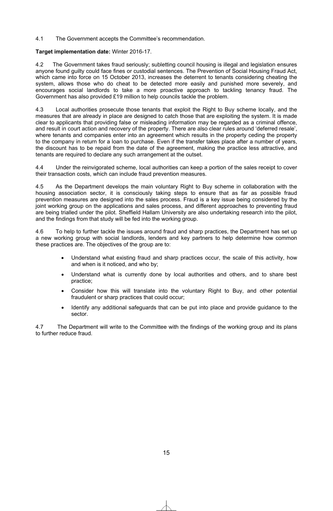#### 4.1 The Government accepts the Committee's recommendation.

#### **Target implementation date:** Winter 2016-17.

4.2 The Government takes fraud seriously; subletting council housing is illegal and legislation ensures anyone found guilty could face fines or custodial sentences. The Prevention of Social Housing Fraud Act, which came into force on 15 October 2013, increases the deterrent to tenants considering cheating the system, allows those who do cheat to be detected more easily and punished more severely, and encourages social landlords to take a more proactive approach to tackling tenancy fraud. The Government has also provided £19 million to help councils tackle the problem.

4.3 Local authorities prosecute those tenants that exploit the Right to Buy scheme locally, and the measures that are already in place are designed to catch those that are exploiting the system. It is made clear to applicants that providing false or misleading information may be regarded as a criminal offence, and result in court action and recovery of the property. There are also clear rules around 'deferred resale', where tenants and companies enter into an agreement which results in the property ceding the property to the company in return for a loan to purchase. Even if the transfer takes place after a number of years, the discount has to be repaid from the date of the agreement, making the practice less attractive, and tenants are required to declare any such arrangement at the outset.

4.4 Under the reinvigorated scheme, local authorities can keep a portion of the sales receipt to cover their transaction costs, which can include fraud prevention measures.

4.5 As the Department develops the main voluntary Right to Buy scheme in collaboration with the housing association sector, it is consciously taking steps to ensure that as far as possible fraud prevention measures are designed into the sales process. Fraud is a key issue being considered by the joint working group on the applications and sales process, and different approaches to preventing fraud are being trialled under the pilot. Sheffield Hallam University are also undertaking research into the pilot, and the findings from that study will be fed into the working group.

4.6 To help to further tackle the issues around fraud and sharp practices, the Department has set up a new working group with social landlords, lenders and key partners to help determine how common these practices are. The objectives of the group are to:

- Understand what existing fraud and sharp practices occur, the scale of this activity, how and when is it noticed, and who by;
- Understand what is currently done by local authorities and others, and to share best practice;
- Consider how this will translate into the voluntary Right to Buy, and other potential fraudulent or sharp practices that could occur;
- Identify any additional safeguards that can be put into place and provide guidance to the sector.

4.7 The Department will write to the Committee with the findings of the working group and its plans to further reduce fraud.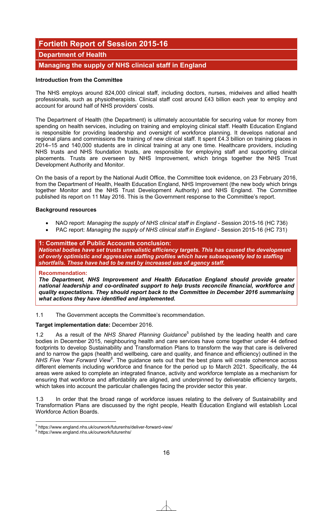# **Fortieth Report of Session 2015-16**

### **Department of Health**

## **Managing the supply of NHS clinical staff in England**

#### **Introduction from the Committee**

The NHS employs around 824,000 clinical staff, including doctors, nurses, midwives and allied health professionals, such as physiotherapists. Clinical staff cost around £43 billion each year to employ and account for around half of NHS providers' costs.

The Department of Health (the Department) is ultimately accountable for securing value for money from spending on health services, including on training and employing clinical staff. Health Education England is responsible for providing leadership and oversight of workforce planning. It develops national and regional plans and commissions the training of new clinical staff. It spent £4.3 billion on training places in 2014–15 and 140,000 students are in clinical training at any one time. Healthcare providers, including NHS trusts and NHS foundation trusts, are responsible for employing staff and supporting clinical placements. Trusts are overseen by NHS Improvement, which brings together the NHS Trust Development Authority and Monitor.

On the basis of a report by the National Audit Office, the Committee took evidence, on 23 February 2016, from the Department of Health, Health Education England, NHS Improvement (the new body which brings together Monitor and the NHS Trust Development Authority) and NHS England. The Committee published its report on 11 May 2016. This is the Government response to the Committee's report.

#### **Background resources**

- x NAO report: *Managing the supply of NHS clinical staff in England* Session 2015-16 (HC 736)
- PAC report: *Managing the supply of NHS clinical staff in England* Session 2015-16 (HC 731)

#### **1: Committee of Public Accounts conclusion:**

*National bodies have set trusts unrealistic efficiency targets. This has caused the development of overly optimistic and aggressive staffing profiles which have subsequently led to staffing shortfalls. These have had to be met by increased use of agency staff.* 

#### **Recommendation:**

*The Department, NHS Improvement and Health Education England should provide greater national leadership and co-ordinated support to help trusts reconcile financial, workforce and quality expectations. They should report back to the Committee in December 2016 summarising what actions they have identified and implemented.*

1.1 The Government accepts the Committee's recommendation.

#### **Target implementation date:** December 2016.

1.2 As a result of the NHS Shared Planning Guidance<sup>5</sup> published by the leading health and care bodies in December 2015, neighbouring health and care services have come together under 44 defined footprints to develop Sustainability and Transformation Plans to transform the way that care is delivered and to narrow the gaps (health and wellbeing, care and quality, and finance and efficiency) outlined in the NHS Five Year Forward View<sup>6</sup>. The guidance sets out that the best plans will create coherence across different elements including workforce and finance for the period up to March 2021. Specifically, the 44 areas were asked to complete an integrated finance, activity and workforce template as a mechanism for ensuring that workforce and affordability are aligned, and underpinned by deliverable efficiency targets, which takes into account the particular challenges facing the provider sector this year.

1.3 In order that the broad range of workforce issues relating to the delivery of Sustainability and Transformation Plans are discussed by the right people, Health Education England will establish Local Workforce Action Boards.

 5 https://www.england.nhs.uk/ourwork/futurenhs/deliver-forward-view/

<sup>6</sup> https://www.england.nhs.uk/ourwork/futurenhs/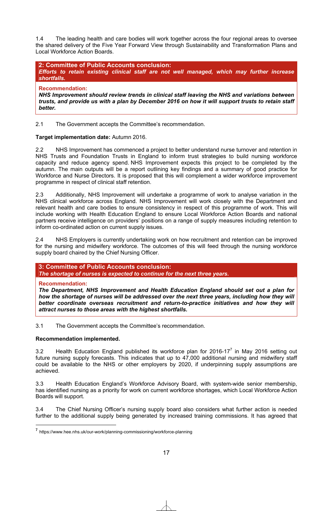1.4 The leading health and care bodies will work together across the four regional areas to oversee the shared delivery of the Five Year Forward View through Sustainability and Transformation Plans and Local Workforce Action Boards.

**2: Committee of Public Accounts conclusion:**  *Efforts to retain existing clinical staff are not well managed, which may further increase shortfalls.* 

**Recommendation:**  *NHS Improvement should review trends in clinical staff leaving the NHS and variations between trusts, and provide us with a plan by December 2016 on how it will support trusts to retain staff better.*

2.1 The Government accepts the Committee's recommendation.

#### **Target implementation date:** Autumn 2016.

2.2 NHS Improvement has commenced a project to better understand nurse turnover and retention in NHS Trusts and Foundation Trusts in England to inform trust strategies to build nursing workforce capacity and reduce agency spend. NHS Improvement expects this project to be completed by the autumn. The main outputs will be a report outlining key findings and a summary of good practice for Workforce and Nurse Directors. It is proposed that this will complement a wider workforce improvement programme in respect of clinical staff retention.

2.3 Additionally, NHS Improvement will undertake a programme of work to analyse variation in the NHS clinical workforce across England. NHS Improvement will work closely with the Department and relevant health and care bodies to ensure consistency in respect of this programme of work. This will include working with Health Education England to ensure Local Workforce Action Boards and national partners receive intelligence on providers' positions on a range of supply measures including retention to inform co-ordinated action on current supply issues.

2.4 NHS Employers is currently undertaking work on how recruitment and retention can be improved for the nursing and midwifery workforce. The outcomes of this will feed through the nursing workforce supply board chaired by the Chief Nursing Officer.

#### **3: Committee of Public Accounts conclusion:**

*The shortage of nurses is expected to continue for the next three years.* 

**Recommendation:** 

1

*The Department, NHS Improvement and Health Education England should set out a plan for*  how the shortage of nurses will be addressed over the next three years, including how they will better coordinate overseas recruitment and return-to-practice initiatives and how they will *attract nurses to those areas with the highest shortfalls.*

3.1 The Government accepts the Committee's recommendation.

#### **Recommendation implemented.**

3.2 Health Education England published its workforce plan for 2016-17 $^7$  in May 2016 setting out future nursing supply forecasts. This indicates that up to 47,000 additional nursing and midwifery staff could be available to the NHS or other employers by 2020, if underpinning supply assumptions are achieved.

3.3 Health Education England's Workforce Advisory Board, with system-wide senior membership, has identified nursing as a priority for work on current workforce shortages, which Local Workforce Action Boards will support.

3.4 The Chief Nursing Officer's nursing supply board also considers what further action is needed further to the additional supply being generated by increased training commissions. It has agreed that

**<sup>7</sup>** https://www.hee.nhs.uk/our-work/planning-commissioning/workforce-planning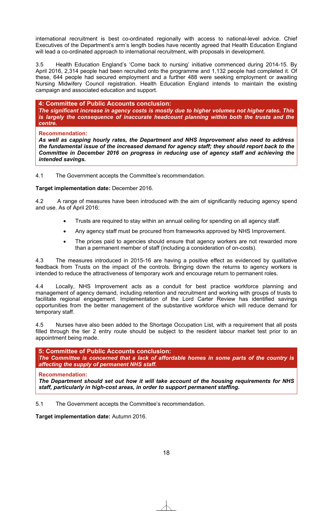international recruitment is best co-ordinated regionally with access to national-level advice. Chief Executives of the Department's arm's length bodies have recently agreed that Health Education England will lead a co-ordinated approach to international recruitment, with proposals in development.

3.5 Health Education England's 'Come back to nursing' initiative commenced during 2014-15. By April 2016, 2,314 people had been recruited onto the programme and 1,132 people had completed it. Of these, 644 people had secured employment and a further 488 were seeking employment or awaiting Nursing Midwifery Council registration. Health Education England intends to maintain the existing campaign and associated education and support.

**4: Committee of Public Accounts conclusion:**

*The significant increase in agency costs is mostly due to higher volumes not higher rates. This is largely the consequence of inaccurate headcount planning within both the trusts and the centre.* 

#### **Recommendation:**

*As well as capping hourly rates, the Department and NHS Improvement also need to address the fundamental issue of the increased demand for agency staff; they should report back to the Committee in December 2016 on progress in reducing use of agency staff and achieving the intended savings.*

4.1 The Government accepts the Committee's recommendation.

**Target implementation date:** December 2016.

4.2 A range of measures have been introduced with the aim of significantly reducing agency spend and use. As of April 2016:

- Trusts are required to stay within an annual ceiling for spending on all agency staff.
- Any agency staff must be procured from frameworks approved by NHS Improvement.
- The prices paid to agencies should ensure that agency workers are not rewarded more than a permanent member of staff (including a consideration of on-costs).

4.3 The measures introduced in 2015-16 are having a positive effect as evidenced by qualitative feedback from Trusts on the impact of the controls. Bringing down the returns to agency workers is intended to reduce the attractiveness of temporary work and encourage return to permanent roles.

4.4 Locally, NHS Improvement acts as a conduit for best practice workforce planning and management of agency demand, including retention and recruitment and working with groups of trusts to facilitate regional engagement. Implementation of the Lord Carter Review has identified savings opportunities from the better management of the substantive workforce which will reduce demand for temporary staff.

4.5 Nurses have also been added to the Shortage Occupation List, with a requirement that all posts filled through the tier 2 entry route should be subject to the resident labour market test prior to an appointment being made.

**5: Committee of Public Accounts conclusion:**  *The Committee is concerned that a lack of affordable homes in some parts of the country is affecting the supply of permanent NHS staff.* 

**Recommendation:** 

*The Department should set out how it will take account of the housing requirements for NHS staff, particularly in high-cost areas, in order to support permanent staffing.*

5.1 The Government accepts the Committee's recommendation.

**Target implementation date:** Autumn 2016.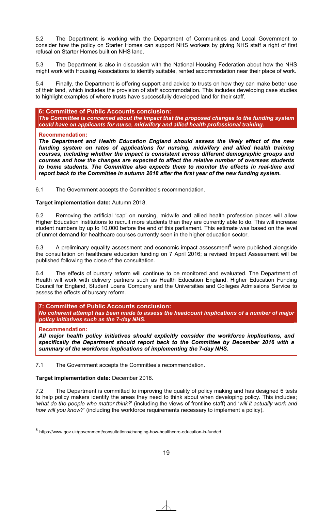5.2 The Department is working with the Department of Communities and Local Government to consider how the policy on Starter Homes can support NHS workers by giving NHS staff a right of first refusal on Starter Homes built on NHS land.

5.3 The Department is also in discussion with the National Housing Federation about how the NHS might work with Housing Associations to identify suitable, rented accommodation near their place of work.

5.4 Finally, the Department is offering support and advice to trusts on how they can make better use of their land, which includes the provision of staff accommodation. This includes developing case studies to highlight examples of where trusts have successfully developed land for their staff.

#### **6: Committee of Public Accounts conclusion:**

*The Committee is concerned about the impact that the proposed changes to the funding system could have on applicants for nurse, midwifery and allied health professional training.* 

#### **Recommendation:**

*The Department and Health Education England should assess the likely effect of the new funding system on rates of applications for nursing, midwifery and allied health training courses, including whether the impact is consistent across different demographic groups and courses and how the changes are expected to affect the relative number of overseas students to home students. The Committee also expects them to monitor the effects in real-time and report back to the Committee in autumn 2018 after the first year of the new funding system.*

6.1 The Government accepts the Committee's recommendation.

#### **Target implementation date:** Autumn 2018.

6.2 Removing the artificial 'cap' on nursing, midwife and allied health profession places will allow Higher Education Institutions to recruit more students than they are currently able to do. This will increase student numbers by up to 10,000 before the end of this parliament. This estimate was based on the level of unmet demand for healthcare courses currently seen in the higher education sector.

6.3 A preliminary equality assessment and economic impact assessment<sup>8</sup> were published alongside the consultation on healthcare education funding on 7 April 2016; a revised Impact Assessment will be published following the close of the consultation.

6.4 The effects of bursary reform will continue to be monitored and evaluated. The Department of Health will work with delivery partners such as Health Education England, Higher Education Funding Council for England, Student Loans Company and the Universities and Colleges Admissions Service to assess the effects of bursary reform.

**7: Committee of Public Accounts conclusion:**  *No coherent attempt has been made to assess the headcount implications of a number of major policy initiatives such as the 7-day NHS.* 

#### **Recommendation:**

1

*All major health policy initiatives should explicitly consider the workforce implications, and specifically the Department should report back to the Committee by December 2016 with a summary of the workforce implications of implementing the 7-day NHS.*

7.1 The Government accepts the Committee's recommendation.

#### **Target implementation date:** December 2016.

7.2 The Department is committed to improving the quality of policy making and has designed 6 tests to help policy makers identify the areas they need to think about when developing policy. This includes; '*what do the people who matter think?*' (including the views of frontline staff) and '*will it actually work and how will you know?*' (including the workforce requirements necessary to implement a policy).

**<sup>8</sup>** https://www.gov.uk/government/consultations/changing-how-healthcare-education-is-funded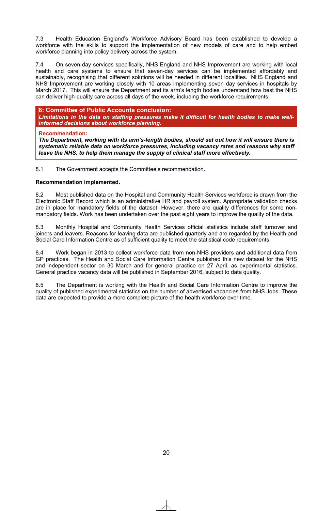7.3 Health Education England's Workforce Advisory Board has been established to develop a workforce with the skills to support the implementation of new models of care and to help embed workforce planning into policy delivery across the system.

7.4 On seven-day services specifically, NHS England and NHS Improvement are working with local health and care systems to ensure that seven-day services can be implemented affordably and sustainably, recognising that different solutions will be needed in different localities. NHS England and NHS Improvement are working closely with 10 areas implementing seven day services in hospitals by March 2017. This will ensure the Department and its arm's length bodies understand how best the NHS can deliver high-quality care across all days of the week, including the workforce requirements.

#### **8: Committee of Public Accounts conclusion:**

*Limitations in the data on staffing pressures make it difficult for health bodies to make wellinformed decisions about workforce planning.* 

#### **Recommendation:**

*The Department, working with its arm's-length bodies, should set out how it will ensure there is systematic reliable data on workforce pressures, including vacancy rates and reasons why staff leave the NHS, to help them manage the supply of clinical staff more effectively.*

8.1 The Government accepts the Committee's recommendation.

#### **Recommendation implemented.**

8.2 Most published data on the Hospital and Community Health Services workforce is drawn from the Electronic Staff Record which is an administrative HR and payroll system. Appropriate validation checks are in place for mandatory fields of the dataset. However, there are quality differences for some nonmandatory fields. Work has been undertaken over the past eight years to improve the quality of the data.

8.3 Monthly Hospital and Community Health Services official statistics include staff turnover and joiners and leavers. Reasons for leaving data are published quarterly and are regarded by the Health and Social Care Information Centre as of sufficient quality to meet the statistical code requirements.

8.4 Work began in 2013 to collect workforce data from non-NHS providers and additional data from GP practices. The Health and Social Care Information Centre published this new dataset for the NHS and independent sector on 30 March and for general practice on 27 April, as experimental statistics. General practice vacancy data will be published in September 2016, subject to data quality.

8.5 The Department is working with the Health and Social Care Information Centre to improve the quality of published experimental statistics on the number of advertised vacancies from NHS Jobs. These data are expected to provide a more complete picture of the health workforce over time.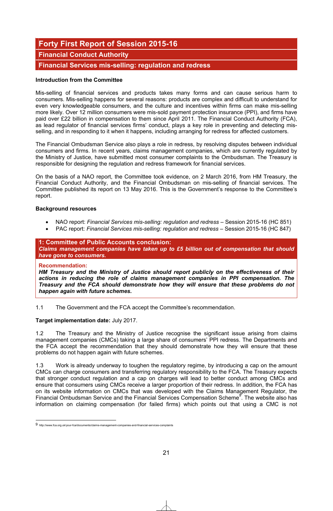# **Forty First Report of Session 2015-16**

## **Financial Conduct Authority**

## **Financial Services mis-selling: regulation and redress**

#### **Introduction from the Committee**

Mis-selling of financial services and products takes many forms and can cause serious harm to consumers. Mis-selling happens for several reasons: products are complex and difficult to understand for even very knowledgeable consumers, and the culture and incentives within firms can make mis-selling more likely. Over 12 million consumers were mis-sold payment protection insurance (PPI), and firms have paid over £22 billion in compensation to them since April 2011. The Financial Conduct Authority (FCA), as lead regulator of financial services firms' conduct, plays a key role in preventing and detecting misselling, and in responding to it when it happens, including arranging for redress for affected customers.

The Financial Ombudsman Service also plays a role in redress, by resolving disputes between individual consumers and firms. In recent years, claims management companies, which are currently regulated by the Ministry of Justice, have submitted most consumer complaints to the Ombudsman. The Treasury is responsible for designing the regulation and redress framework for financial services.

On the basis of a NAO report, the Committee took evidence, on 2 March 2016, from HM Treasury, the Financial Conduct Authority, and the Financial Ombudsman on mis-selling of financial services. The Committee published its report on 13 May 2016. This is the Government's response to the Committee's report.

#### **Background resources**

- x NAO report: *Financial Services mis-selling: regulation and redress* Session 2015-16 (HC 851)
- x PAC report: *Financial Services mis-selling: regulation and redress* Session 2015-16 (HC 847)

#### **1: Committee of Public Accounts conclusion:**

*Claims management companies have taken up to £5 billion out of compensation that should have gone to consumers.* 

#### **Recommendation:**

*HM Treasury and the Ministry of Justice should report publicly on the effectiveness of their actions in reducing the role of claims management companies in PPI compensation. The Treasury and the FCA should demonstrate how they will ensure that these problems do not happen again with future schemes.*

1.1 The Government and the FCA accept the Committee's recommendation.

#### **Target implementation date:** July 2017.

1.2 The Treasury and the Ministry of Justice recognise the significant issue arising from claims management companies (CMCs) taking a large share of consumers' PPI redress. The Departments and the FCA accept the recommendation that they should demonstrate how they will ensure that these problems do not happen again with future schemes.

1.3 Work is already underway to toughen the regulatory regime, by introducing a cap on the amount CMCs can charge consumers and transferring regulatory responsibility to the FCA. The Treasury expects that stronger conduct regulation and a cap on charges will lead to better conduct among CMCs and ensure that consumers using CMCs receive a larger proportion of their redress. In addition, the FCA has on its website information on CMCs that was developed with the Claims Management Regulator, the Financial Ombudsman Service and the Financial Services Compensation Scheme<sup>9</sup>. The website also has information on claiming compensation (for failed firms) which points out that using a CMC is not

<sup>1</sup> 9 http://www.fca.org.uk/your-fca/documents/claims-management-companies-and-financial-services-complaints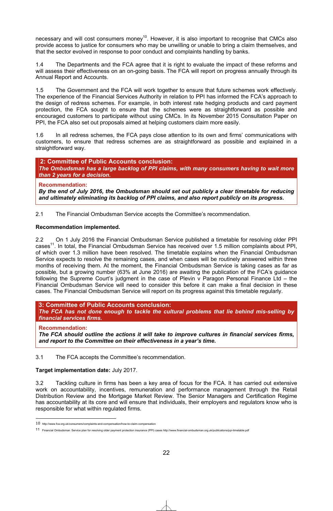necessary and will cost consumers money<sup>10</sup>. However, it is also important to recognise that CMCs also provide access to justice for consumers who may be unwilling or unable to bring a claim themselves, and that the sector evolved in response to poor conduct and complaints handling by banks.

1.4 The Departments and the FCA agree that it is right to evaluate the impact of these reforms and will assess their effectiveness on an on-going basis. The FCA will report on progress annually through its Annual Report and Accounts.

1.5 The Government and the FCA will work together to ensure that future schemes work effectively. The experience of the Financial Services Authority in relation to PPI has informed the FCA's approach to the design of redress schemes. For example, in both interest rate hedging products and card payment protection, the FCA sought to ensure that the schemes were as straightforward as possible and encouraged customers to participate without using CMCs. In its November 2015 Consultation Paper on PPI, the FCA also set out proposals aimed at helping customers claim more easily.

1.6 In all redress schemes, the FCA pays close attention to its own and firms' communications with customers, to ensure that redress schemes are as straightforward as possible and explained in a straightforward way.

**2: Committee of Public Accounts conclusion:**  *The Ombudsman has a large backlog of PPI claims, with many consumers having to wait more than 2 years for a decision.* 

**Recommendation:** 

*By the end of July 2016, the Ombudsman should set out publicly a clear timetable for reducing and ultimately eliminating its backlog of PPI claims, and also report publicly on its progress.*

2.1 The Financial Ombudsman Service accepts the Committee's recommendation.

#### **Recommendation implemented.**

2.2 On 1 July 2016 the Financial Ombudsman Service published a timetable for resolving older PPI cases<sup>11</sup>. In total, the Financial Ombudsman Service has received over 1.5 million complaints about PPI, of which over 1.3 million have been resolved. The timetable explains when the Financial Ombudsman Service expects to resolve the remaining cases, and when cases will be routinely answered within three months of receiving them. At the moment, the Financial Ombudsman Service is taking cases as far as possible, but a growing number (63% at June 2016) are awaiting the publication of the FCA's guidance following the Supreme Court's judgment in the case of Plevin v Paragon Personal Finance Ltd – the Financial Ombudsman Service will need to consider this before it can make a final decision in these cases. The Financial Ombudsman Service will report on its progress against this timetable regularly.

**3: Committee of Public Accounts conclusion:** *The FCA has not done enough to tackle the cultural problems that lie behind mis-selling by financial services firms.* 

#### **Recommendation:**

*The FCA should outline the actions it will take to improve cultures in financial services firms, and report to the Committee on their effectiveness in a year's time.*

3.1 The FCA accepts the Committee's recommendation.

#### **Target implementation date:** July 2017.

3.2 Tackling culture in firms has been a key area of focus for the FCA. It has carried out extensive work on accountability, incentives, remuneration and performance management through the Retail Distribution Review and the Mortgage Market Review. The Senior Managers and Certification Regime has accountability at its core and will ensure that individuals, their employers and regulators know who is responsible for what within regulated firms.

<sup>1</sup> 10 http://www.fca.org.uk/consumers/complaints-and-compensation/how-to-claim-compensation

<sup>11</sup> Financial Ombudsman Service plan for resolving older payment protection insurance (PPI) cases http://www.financial-ombudsman.org.uk/publications/ppi-timetable.pdf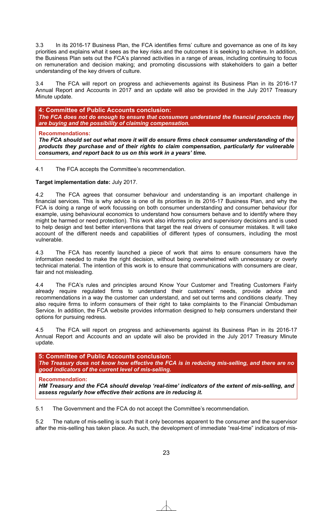3.3 In its 2016-17 Business Plan, the FCA identifies firms' culture and governance as one of its key priorities and explains what it sees as the key risks and the outcomes it is seeking to achieve. In addition, the Business Plan sets out the FCA's planned activities in a range of areas, including continuing to focus on remuneration and decision making; and promoting discussions with stakeholders to gain a better understanding of the key drivers of culture.

3.4 The FCA will report on progress and achievements against its Business Plan in its 2016-17 Annual Report and Accounts in 2017 and an update will also be provided in the July 2017 Treasury Minute update.

**4: Committee of Public Accounts conclusion:**

*The FCA does not do enough to ensure that consumers understand the financial products they are buying and the possibility of claiming compensation.*

#### **Recommendations:**

*The FCA should set out what more it will do ensure firms check consumer understanding of the products they purchase and of their rights to claim compensation, particularly for vulnerable consumers, and report back to us on this work in a years' time.*

4.1 The FCA accepts the Committee's recommendation.

#### **Target implementation date:** July 2017.

4.2 The FCA agrees that consumer behaviour and understanding is an important challenge in financial services. This is why advice is one of its priorities in its 2016-17 Business Plan, and why the FCA is doing a range of work focussing on both consumer understanding and consumer behaviour (for example, using behavioural economics to understand how consumers behave and to identify where they might be harmed or need protection). This work also informs policy and supervisory decisions and is used to help design and test better interventions that target the real drivers of consumer mistakes. It will take account of the different needs and capabilities of different types of consumers, including the most vulnerable.

4.3 The FCA has recently launched a piece of work that aims to ensure consumers have the information needed to make the right decision, without being overwhelmed with unnecessary or overly technical material. The intention of this work is to ensure that communications with consumers are clear, fair and not misleading.

4.4 The FCA's rules and principles around Know Your Customer and Treating Customers Fairly already require regulated firms to understand their customers' needs, provide advice and recommendations in a way the customer can understand, and set out terms and conditions clearly. They also require firms to inform consumers of their right to take complaints to the Financial Ombudsman Service. In addition, the FCA website provides information designed to help consumers understand their options for pursuing redress.

4.5 The FCA will report on progress and achievements against its Business Plan in its 2016-17 Annual Report and Accounts and an update will also be provided in the July 2017 Treasury Minute update.

**5: Committee of Public Accounts conclusion:** 

*The Treasury does not know how effective the FCA is in reducing mis-selling, and there are no good indicators of the current level of mis-selling.* 

#### **Recommendation:**

*HM Treasury and the FCA should develop 'real-time' indicators of the extent of mis-selling, and assess regularly how effective their actions are in reducing it.*

5.1 The Government and the FCA do not accept the Committee's recommendation.

5.2 The nature of mis-selling is such that it only becomes apparent to the consumer and the supervisor after the mis-selling has taken place. As such, the development of immediate "real-time" indicators of mis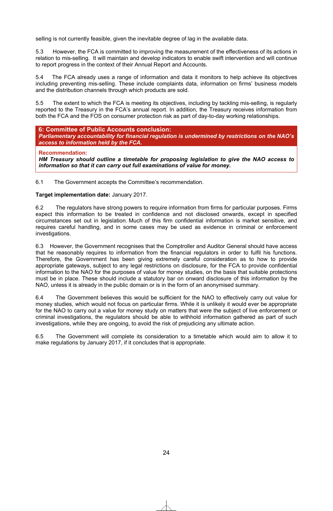selling is not currently feasible, given the inevitable degree of lag in the available data.

5.3 However, the FCA is committed to improving the measurement of the effectiveness of its actions in relation to mis-selling. It will maintain and develop indicators to enable swift intervention and will continue to report progress in the context of their Annual Report and Accounts.

5.4 The FCA already uses a range of information and data it monitors to help achieve its objectives including preventing mis-selling. These include complaints data, information on firms' business models and the distribution channels through which products are sold.

5.5 The extent to which the FCA is meeting its objectives, including by tackling mis-selling, is regularly reported to the Treasury in the FCA's annual report. In addition, the Treasury receives information from both the FCA and the FOS on consumer protection risk as part of day-to-day working relationships.

#### **6: Committee of Public Accounts conclusion:**

*Parliamentary accountability for financial regulation is undermined by restrictions on the NAO's access to information held by the FCA.* 

#### **Recommendation:**

*HM Treasury should outline a timetable for proposing legislation to give the NAO access to information so that it can carry out full examinations of value for money.*

6.1 The Government accepts the Committee's recommendation.

#### **Target implementation date:** January 2017.

6.2 The regulators have strong powers to require information from firms for particular purposes. Firms expect this information to be treated in confidence and not disclosed onwards, except in specified circumstances set out in legislation. Much of this firm confidential information is market sensitive, and requires careful handling, and in some cases may be used as evidence in criminal or enforcement investigations.

6.3 However, the Government recognises that the Comptroller and Auditor General should have access that he reasonably requires to information from the financial regulators in order to fulfil his functions. Therefore, the Government has been giving extremely careful consideration as to how to provide appropriate gateways, subject to any legal restrictions on disclosure, for the FCA to provide confidential information to the NAO for the purposes of value for money studies, on the basis that suitable protections must be in place. These should include a statutory bar on onward disclosure of this information by the NAO, unless it is already in the public domain or is in the form of an anonymised summary.

6.4 The Government believes this would be sufficient for the NAO to effectively carry out value for money studies, which would not focus on particular firms. While it is unlikely it would ever be appropriate for the NAO to carry out a value for money study on matters that were the subject of live enforcement or criminal investigations, the regulators should be able to withhold information gathered as part of such investigations, while they are ongoing, to avoid the risk of prejudicing any ultimate action.

6.5 The Government will complete its consideration to a timetable which would aim to allow it to make regulations by January 2017, if it concludes that is appropriate.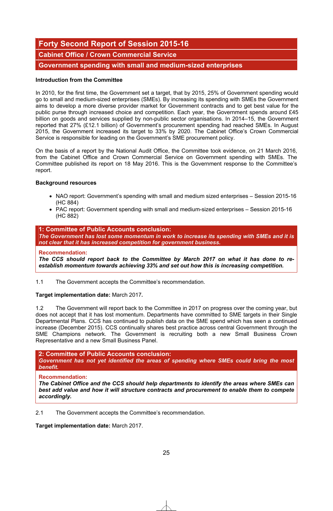# **Forty Second Report of Session 2015-16**

**Cabinet Office / Crown Commercial Service** 

**Government spending with small and medium-sized enterprises** 

#### **Introduction from the Committee**

In 2010, for the first time, the Government set a target, that by 2015, 25% of Government spending would go to small and medium-sized enterprises (SMEs). By increasing its spending with SMEs the Government aims to develop a more diverse provider market for Government contracts and to get best value for the public purse through increased choice and competition. Each year, the Government spends around £45 billion on goods and services supplied by non-public sector organisations. In 2014–15, the Government reported that 27% (£12.1 billion) of Government's procurement spending had reached SMEs. In August 2015, the Government increased its target to 33% by 2020. The Cabinet Office's Crown Commercial Service is responsible for leading on the Government's SME procurement policy.

On the basis of a report by the National Audit Office, the Committee took evidence, on 21 March 2016, from the Cabinet Office and Crown Commercial Service on Government spending with SMEs. The Committee published its report on 18 May 2016. This is the Government response to the Committee's report.

#### **Background resources**

- NAO report: Government's spending with small and medium sized enterprises Session 2015-16 (HC 884)
- PAC report: Government spending with small and medium-sized enterprises Session 2015-16 (HC 882)

#### **1: Committee of Public Accounts conclusion:**

*The Government has lost some momentum in work to increase its spending with SMEs and it is not clear that it has increased competition for government business.*

#### **Recommendation:**

*The CCS should report back to the Committee by March 2017 on what it has done to reestablish momentum towards achieving 33% and set out how this is increasing competition.* 

1.1 The Government accepts the Committee's recommendation.

#### **Target implementation date:** March 2017**.**

1.2 The Government will report back to the Committee in 2017 on progress over the coming year, but does not accept that it has lost momentum. Departments have committed to SME targets in their Single Departmental Plans. CCS has continued to publish data on the SME spend which has seen a continued increase (December 2015). CCS continually shares best practice across central Government through the SME Champions network. The Government is recruiting both a new Small Business Crown Representative and a new Small Business Panel.

#### **2: Committee of Public Accounts conclusion:**

*Government has not yet identified the areas of spending where SMEs could bring the most benefit.*

#### **Recommendation:**

*The Cabinet Office and the CCS should help departments to identify the areas where SMEs can best add value and how it will structure contracts and procurement to enable them to compete accordingly.* 

2.1 The Government accepts the Committee's recommendation.

**Target implementation date:** March 2017.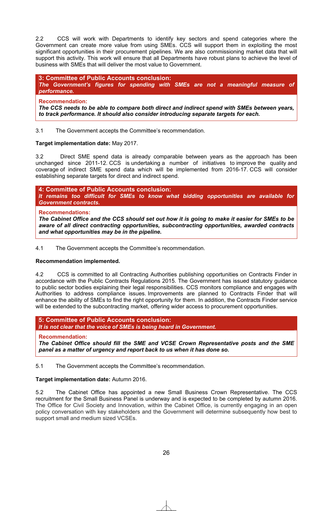2.2 CCS will work with Departments to identify key sectors and spend categories where the Government can create more value from using SMEs. CCS will support them in exploiting the most significant opportunities in their procurement pipelines. We are also commissioning market data that will support this activity. This work will ensure that all Departments have robust plans to achieve the level of business with SMEs that will deliver the most value to Government.

#### **3: Committee of Public Accounts conclusion:**

*The Government's figures for spending with SMEs are not a meaningful measure of performance.* 

#### **Recommendation:**

*The CCS needs to be able to compare both direct and indirect spend with SMEs between years, to track performance. It should also consider introducing separate targets for each.* 

3.1 The Government accepts the Committee's recommendation.

#### **Target implementation date:** May 2017.

3.2 Direct SME spend data is already comparable between years as the approach has been unchanged since 2011-12. CCS is undertaking a number of initiatives to improve the quality and coverage of indirect SME spend data which will be implemented from 2016-17. CCS will consider establishing separate targets for direct and indirect spend.

## **4: Committee of Public Accounts conclusion:**

*It remains too difficult for SMEs to know what bidding opportunities are available for Government contracts.*

#### **Recommendations:**

*The Cabinet Office and the CCS should set out how it is going to make it easier for SMEs to be aware of all direct contracting opportunities, subcontracting opportunities, awarded contracts and what opportunities may be in the pipeline.*

4.1 The Government accepts the Committee's recommendation.

#### **Recommendation implemented.**

4.2 CCS is committed to all Contracting Authorities publishing opportunities on Contracts Finder in accordance with the Public Contracts Regulations 2015. The Government has issued statutory guidance to public sector bodies explaining their legal responsibilities. CCS monitors compliance and engages with Authorities to address compliance issues. Improvements are planned to Contracts Finder that will enhance the ability of SMEs to find the right opportunity for them. In addition, the Contracts Finder service will be extended to the subcontracting market, offering wider access to procurement opportunities.

#### **5: Committee of Public Accounts conclusion:**  *It is not clear that the voice of SMEs is being heard in Government.*

#### **Recommendation:**

*The Cabinet Office should fill the SME and VCSE Crown Representative posts and the SME panel as a matter of urgency and report back to us when it has done so.*

5.1 The Government accepts the Committee's recommendation.

#### **Target implementation date:** Autumn 2016.

5.2 The Cabinet Office has appointed a new Small Business Crown Representative. The CCS recruitment for the Small Business Panel is underway and is expected to be completed by autumn 2016. The Office for Civil Society and Innovation, within the Cabinet Office, is currently engaging in an open policy conversation with key stakeholders and the Government will determine subsequently how best to support small and medium sized VCSEs.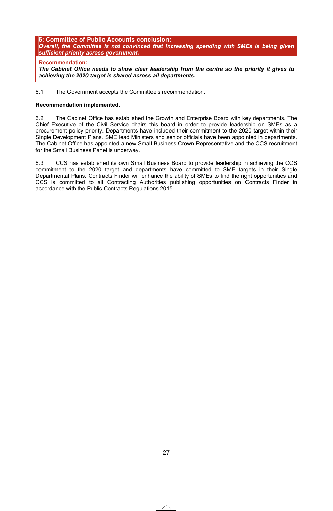#### **6: Committee of Public Accounts conclusion:**  *Overall, the Committee is not convinced that increasing spending with SMEs is being given sufficient priority across government.*

#### **Recommendation:**

*The Cabinet Office needs to show clear leadership from the centre so the priority it gives to achieving the 2020 target is shared across all departments.*

6.1 The Government accepts the Committee's recommendation.

#### **Recommendation implemented.**

6.2 The Cabinet Office has established the Growth and Enterprise Board with key departments. The Chief Executive of the Civil Service chairs this board in order to provide leadership on SMEs as a procurement policy priority. Departments have included their commitment to the 2020 target within their Single Development Plans. SME lead Ministers and senior officials have been appointed in departments. The Cabinet Office has appointed a new Small Business Crown Representative and the CCS recruitment for the Small Business Panel is underway.

6.3 CCS has established its own Small Business Board to provide leadership in achieving the CCS commitment to the 2020 target and departments have committed to SME targets in their Single Departmental Plans. Contracts Finder will enhance the ability of SMEs to find the right opportunities and CCS is committed to all Contracting Authorities publishing opportunities on Contracts Finder in accordance with the Public Contracts Regulations 2015.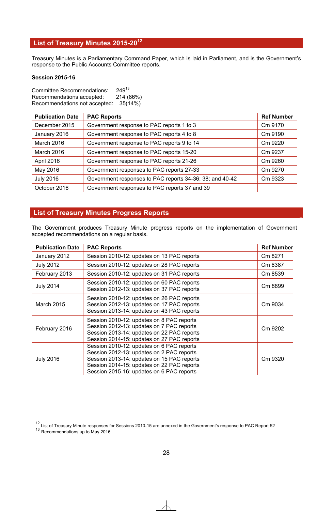# **List of Treasury Minutes 2015-2012**

Treasury Minutes is a Parliamentary Command Paper, which is laid in Parliament, and is the Government's response to the Public Accounts Committee reports.

#### **Session 2015-16**

Committee Recommendations: 24913 Recommendations accepted: 214 (86%) Recommendations not accepted: 35(14%)

| <b>Publication Date</b> | <b>PAC Reports</b>                                       | <b>Ref Number</b> |
|-------------------------|----------------------------------------------------------|-------------------|
| December 2015           | Government response to PAC reports 1 to 3                | Cm 9170           |
| January 2016            | Government response to PAC reports 4 to 8                | Cm 9190           |
| March 2016              | Government response to PAC reports 9 to 14               | Cm 9220           |
| March 2016              | Government response to PAC reports 15-20                 | Cm 9237           |
| April 2016              | Government response to PAC reports 21-26                 | Cm 9260           |
| May 2016                | Government responses to PAC reports 27-33                | Cm 9270           |
| <b>July 2016</b>        | Government responses to PAC reports 34-36; 38; and 40-42 | Cm 9323           |
| October 2016            | Government responses to PAC reports 37 and 39            |                   |

## **List of Treasury Minutes Progress Reports**

The Government produces Treasury Minute progress reports on the implementation of Government accepted recommendations on a regular basis.

| <b>Publication Date</b> | <b>PAC Reports</b>                                                                                                                                                                                                              | <b>Ref Number</b> |
|-------------------------|---------------------------------------------------------------------------------------------------------------------------------------------------------------------------------------------------------------------------------|-------------------|
| January 2012            | Session 2010-12: updates on 13 PAC reports                                                                                                                                                                                      | Cm 8271           |
| <b>July 2012</b>        | Session 2010-12: updates on 28 PAC reports                                                                                                                                                                                      | Cm 8387           |
| February 2013           | Session 2010-12: updates on 31 PAC reports                                                                                                                                                                                      | Cm 8539           |
| <b>July 2014</b>        | Session 2010-12: updates on 60 PAC reports<br>Session 2012-13: updates on 37 PAC reports                                                                                                                                        | Cm 8899           |
| <b>March 2015</b>       | Session 2010-12: updates on 26 PAC reports<br>Session 2012-13: updates on 17 PAC reports<br>Session 2013-14: updates on 43 PAC reports                                                                                          | Cm 9034           |
| February 2016           | Session 2010-12: updates on 8 PAC reports<br>Session 2012-13: updates on 7 PAC reports<br>Session 2013-14: updates on 22 PAC reports<br>Session 2014-15: updates on 27 PAC reports                                              | Cm 9202           |
| <b>July 2016</b>        | Session 2010-12: updates on 6 PAC reports<br>Session 2012-13: updates on 2 PAC reports<br>Session 2013-14: updates on 15 PAC reports<br>Session 2014-15: updates on 22 PAC reports<br>Session 2015-16: updates on 6 PAC reports | Cm 9320           |

1

<sup>&</sup>lt;sup>12</sup> List of Treasury Minute responses for Sessions 2010-15 are annexed in the Government's response to PAC Report 52

<sup>&</sup>lt;sup>13</sup> Recommendations up to May 2016